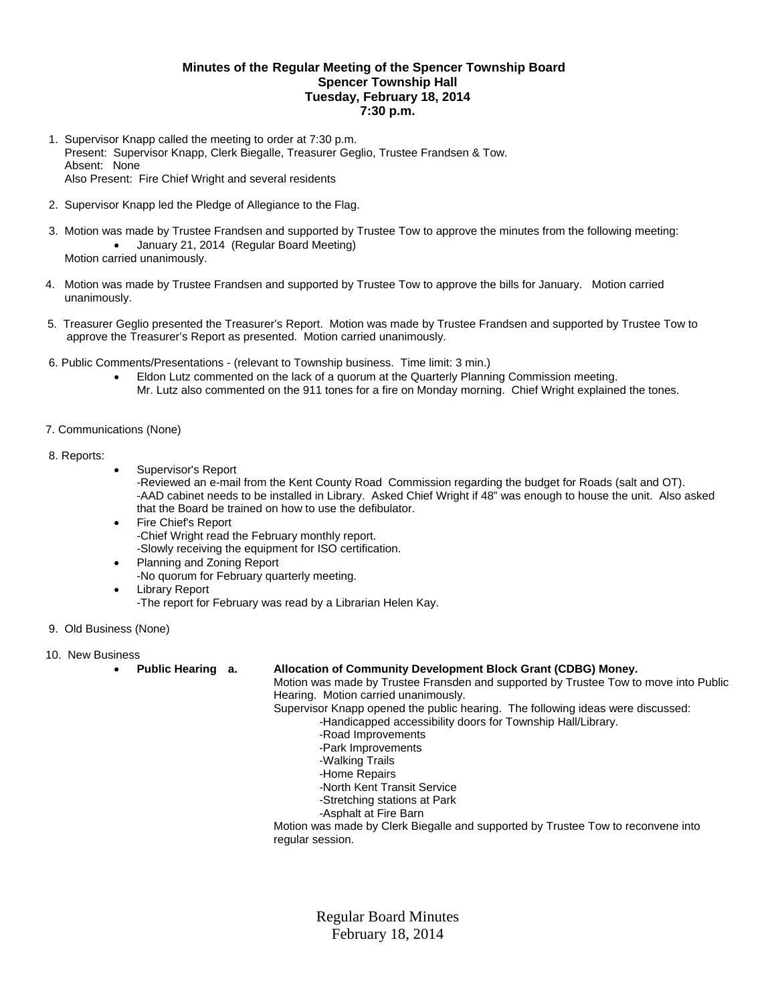## **Minutes of the Regular Meeting of the Spencer Township Board Spencer Township Hall Tuesday, February 18, 2014 7:30 p.m.**

- 1. Supervisor Knapp called the meeting to order at 7:30 p.m. Present: Supervisor Knapp, Clerk Biegalle, Treasurer Geglio, Trustee Frandsen & Tow. Absent: None Also Present: Fire Chief Wright and several residents
- 2. Supervisor Knapp led the Pledge of Allegiance to the Flag.
- 3. Motion was made by Trustee Frandsen and supported by Trustee Tow to approve the minutes from the following meeting: January 21, 2014 (Regular Board Meeting) Motion carried unanimously.
- 4. Motion was made by Trustee Frandsen and supported by Trustee Tow to approve the bills for January. Motion carried unanimously.
- 5. Treasurer Geglio presented the Treasurer's Report. Motion was made by Trustee Frandsen and supported by Trustee Tow to approve the Treasurer's Report as presented. Motion carried unanimously.
- 6. Public Comments/Presentations (relevant to Township business. Time limit: 3 min.)
	- Eldon Lutz commented on the lack of a quorum at the Quarterly Planning Commission meeting. Mr. Lutz also commented on the 911 tones for a fire on Monday morning. Chief Wright explained the tones.
- 7. Communications (None)

## 8. Reports:

Supervisor's Report

-Reviewed an e-mail from the Kent County Road Commission regarding the budget for Roads (salt and OT). -AAD cabinet needs to be installed in Library. Asked Chief Wright if 48" was enough to house the unit. Also asked that the Board be trained on how to use the defibulator.

- Fire Chief's Report -Chief Wright read the February monthly report. -Slowly receiving the equipment for ISO certification.
- Planning and Zoning Report -No quorum for February quarterly meeting.
- Library Report -The report for February was read by a Librarian Helen Kay.
- 9. Old Business (None)
- 10. New Business
	-

## **Public Hearing a. Allocation of Community Development Block Grant (CDBG) Money.**

Motion was made by Trustee Fransden and supported by Trustee Tow to move into Public Hearing. Motion carried unanimously.

Supervisor Knapp opened the public hearing. The following ideas were discussed: -Handicapped accessibility doors for Township Hall/Library.

- -Road Improvements
- -Park Improvements
- -Walking Trails
- -Home Repairs
- -North Kent Transit Service
- -Stretching stations at Park
- -Asphalt at Fire Barn

 Motion was made by Clerk Biegalle and supported by Trustee Tow to reconvene into regular session.

> Regular Board Minutes February 18, 2014